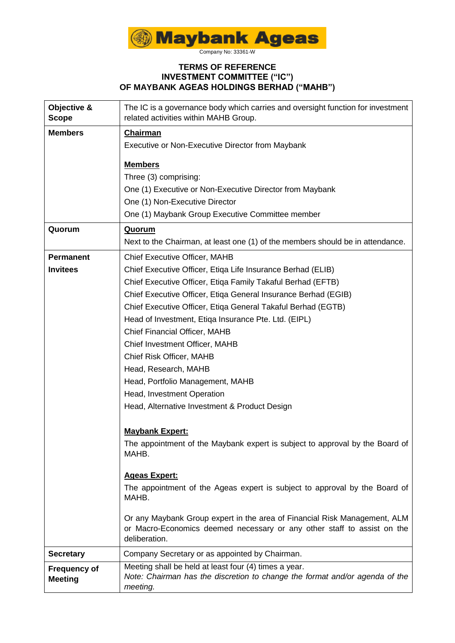

Company No: 33361-W

## **TERMS OF REFERENCE INVESTMENT COMMITTEE ("IC") OF MAYBANK AGEAS HOLDINGS BERHAD ("MAHB")**

| Objective &<br><b>Scope</b>           | The IC is a governance body which carries and oversight function for investment<br>related activities within MAHB Group.                                              |
|---------------------------------------|-----------------------------------------------------------------------------------------------------------------------------------------------------------------------|
| <b>Members</b>                        | <b>Chairman</b>                                                                                                                                                       |
|                                       | Executive or Non-Executive Director from Maybank                                                                                                                      |
|                                       | <b>Members</b>                                                                                                                                                        |
|                                       | Three (3) comprising:                                                                                                                                                 |
|                                       | One (1) Executive or Non-Executive Director from Maybank                                                                                                              |
|                                       | One (1) Non-Executive Director                                                                                                                                        |
|                                       | One (1) Maybank Group Executive Committee member                                                                                                                      |
| Quorum                                | <b>Quorum</b>                                                                                                                                                         |
|                                       | Next to the Chairman, at least one (1) of the members should be in attendance.                                                                                        |
| <b>Permanent</b>                      | <b>Chief Executive Officer, MAHB</b>                                                                                                                                  |
| <b>Invitees</b>                       | Chief Executive Officer, Etiqa Life Insurance Berhad (ELIB)                                                                                                           |
|                                       | Chief Executive Officer, Etiqa Family Takaful Berhad (EFTB)                                                                                                           |
|                                       | Chief Executive Officer, Etiqa General Insurance Berhad (EGIB)                                                                                                        |
|                                       | Chief Executive Officer, Etiqa General Takaful Berhad (EGTB)                                                                                                          |
|                                       | Head of Investment, Etiqa Insurance Pte. Ltd. (EIPL)                                                                                                                  |
|                                       | Chief Financial Officer, MAHB                                                                                                                                         |
|                                       | Chief Investment Officer, MAHB                                                                                                                                        |
|                                       | Chief Risk Officer, MAHB                                                                                                                                              |
|                                       | Head, Research, MAHB                                                                                                                                                  |
|                                       | Head, Portfolio Management, MAHB                                                                                                                                      |
|                                       | Head, Investment Operation                                                                                                                                            |
|                                       | Head, Alternative Investment & Product Design                                                                                                                         |
|                                       | <b>Maybank Expert:</b>                                                                                                                                                |
|                                       | The appointment of the Maybank expert is subject to approval by the Board of<br>MAHB.                                                                                 |
|                                       | <b>Ageas Expert:</b>                                                                                                                                                  |
|                                       | The appointment of the Ageas expert is subject to approval by the Board of<br>MAHB.                                                                                   |
|                                       | Or any Maybank Group expert in the area of Financial Risk Management, ALM<br>or Macro-Economics deemed necessary or any other staff to assist on the<br>deliberation. |
| <b>Secretary</b>                      | Company Secretary or as appointed by Chairman.                                                                                                                        |
| <b>Frequency of</b><br><b>Meeting</b> | Meeting shall be held at least four (4) times a year.<br>Note: Chairman has the discretion to change the format and/or agenda of the<br>meeting.                      |